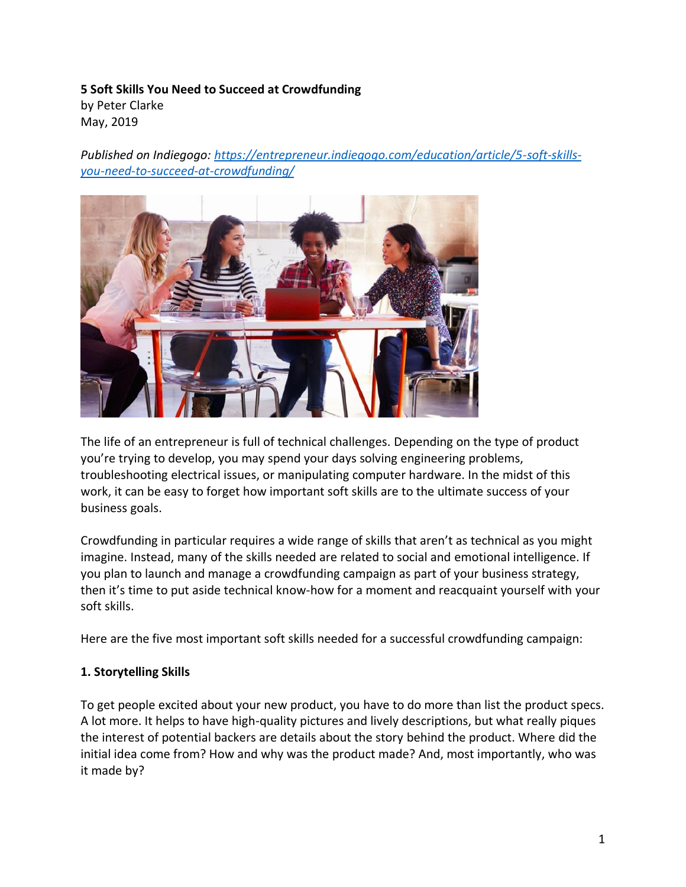# **5 Soft Skills You Need to Succeed at Crowdfunding** by Peter Clarke

May, 2019

*Published on Indiegogo: [https://entrepreneur.indiegogo.com/education/article/5-soft-skills](https://entrepreneur.indiegogo.com/education/article/5-soft-skills-you-need-to-succeed-at-crowdfunding/)[you-need-to-succeed-at-crowdfunding/](https://entrepreneur.indiegogo.com/education/article/5-soft-skills-you-need-to-succeed-at-crowdfunding/)*



The life of an entrepreneur is full of technical challenges. Depending on the type of product you're trying to develop, you may spend your days solving engineering problems, troubleshooting electrical issues, or manipulating computer hardware. In the midst of this work, it can be easy to forget how important soft skills are to the ultimate success of your business goals.

Crowdfunding in particular requires a wide range of skills that aren't as technical as you might imagine. Instead, many of the skills needed are related to social and emotional intelligence. If you plan to launch and manage a crowdfunding campaign as part of your business strategy, then it's time to put aside technical know-how for a moment and reacquaint yourself with your soft skills.

Here are the five most important soft skills needed for a successful crowdfunding campaign:

# **1. Storytelling Skills**

To get people excited about your new product, you have to do more than list the product specs. A lot more. It helps to have high-quality pictures and lively descriptions, but what really piques the interest of potential backers are details about the story behind the product. Where did the initial idea come from? How and why was the product made? And, most importantly, who was it made by?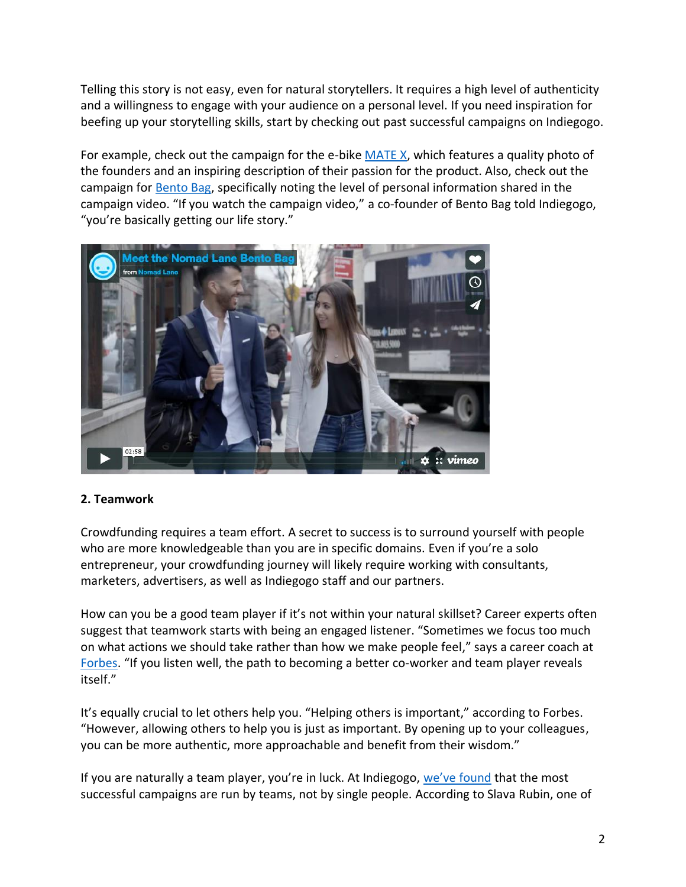Telling this story is not easy, even for natural storytellers. It requires a high level of authenticity and a willingness to engage with your audience on a personal level. If you need inspiration for beefing up your storytelling skills, start by checking out past successful campaigns on Indiegogo.

For example, check out the campaign for the e-bik[e MATE X,](https://www.indiegogo.com/projects/mate-x-most-affordable-fully-loaded-folding-ebike#/) which features a quality photo of the founders and an inspiring description of their passion for the product. Also, check out the campaign for [Bento Bag,](https://www.indiegogo.com/projects/the-bento-bag-most-thoughtful-travel-bag-ever#/) specifically noting the level of personal information shared in the campaign video. "If you watch the campaign video," a co-founder of Bento Bag told Indiegogo, "you're basically getting our life story."



#### **2. Teamwork**

Crowdfunding requires a team effort. A secret to success is to surround yourself with people who are more knowledgeable than you are in specific domains. Even if you're a solo entrepreneur, your crowdfunding journey will likely require working with consultants, marketers, advertisers, as well as Indiegogo staff and our partners.

How can you be a good team player if it's not within your natural skillset? Career experts often suggest that teamwork starts with being an engaged listener. "Sometimes we focus too much on what actions we should take rather than how we make people feel," says a career coach at [Forbes](https://www.forbes.com/sites/forbescoachescouncil/2018/12/18/15-top-tips-to-become-a-better-team-player-at-work/#153f56ad3f6e). "If you listen well, the path to becoming a better co-worker and team player reveals itself."

It's equally crucial to let others help you. "Helping others is important," according to Forbes. "However, allowing others to help you is just as important. By opening up to your colleagues, you can be more authentic, more approachable and benefit from their wisdom."

If you are naturally a team player, you're in luck. At Indiegogo, [we've found](https://www.timesofisrael.com/indiegogo-co-founder-says-teamwork-is-key-to-sweet-funding-success/) that the most successful campaigns are run by teams, not by single people. According to Slava Rubin, one of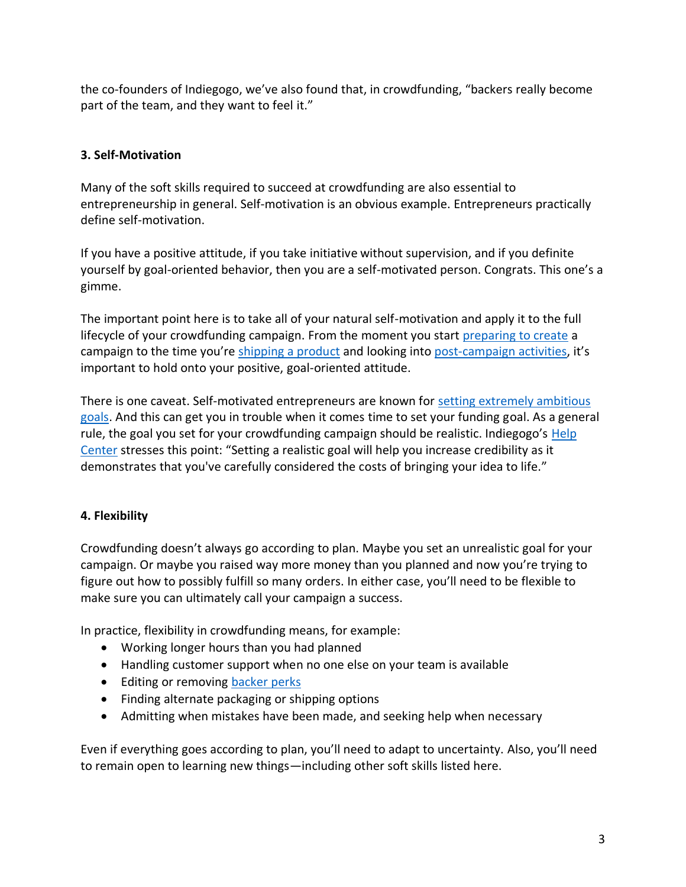the co-founders of Indiegogo, we've also found that, in crowdfunding, "backers really become part of the team, and they want to feel it."

# **3. Self-Motivation**

Many of the soft skills required to succeed at crowdfunding are also essential to entrepreneurship in general. Self-motivation is an obvious example. Entrepreneurs practically define self-motivation.

If you have a positive attitude, if you take initiative without supervision, and if you definite yourself by goal-oriented behavior, then you are a self-motivated person. Congrats. This one's a gimme.

The important point here is to take all of your natural self-motivation and apply it to the full lifecycle of your crowdfunding campaign. From the moment you start [preparing to create](https://support.indiegogo.com/hc/en-us/articles/204458068-Checklist-Before-Creating-A-Campaign) a campaign to the time you're [shipping a product](https://entrepreneur.indiegogo.com/education/article/shipping-logistics-the-basics/) and looking into [post-campaign activities](https://learn.indiegogo.com/marketing-indiegogo-calendar-and-checklist-4/), it's important to hold onto your positive, goal-oriented attitude.

There is one caveat. Self-motivated entrepreneurs are known for [setting extremely ambitious](https://www.entrepreneur.com/article/251591)  [goals.](https://www.entrepreneur.com/article/251591) And this can get you in trouble when it comes time to set your funding goal. As a general rule, the goal you set for your crowdfunding campaign should be realistic. Indiegogo's [Help](https://support.indiegogo.com/hc/en-us/articles/204456228-How-do-I-choose-my-funding-goal-)  [Center](https://support.indiegogo.com/hc/en-us/articles/204456228-How-do-I-choose-my-funding-goal-) stresses this point: "Setting a realistic goal will help you increase credibility as it demonstrates that you've carefully considered the costs of bringing your idea to life."

# **4. Flexibility**

Crowdfunding doesn't always go according to plan. Maybe you set an unrealistic goal for your campaign. Or maybe you raised way more money than you planned and now you're trying to figure out how to possibly fulfill so many orders. In either case, you'll need to be flexible to make sure you can ultimately call your campaign a success.

In practice, flexibility in crowdfunding means, for example:

- Working longer hours than you had planned
- Handling customer support when no one else on your team is available
- Editing or removing [backer perks](https://support.indiegogo.com/hc/en-us/articles/209674868-Perks-How-to-Create-Edit-and-Remove-Perks)
- Finding alternate packaging or shipping options
- Admitting when mistakes have been made, and seeking help when necessary

Even if everything goes according to plan, you'll need to adapt to uncertainty. Also, you'll need to remain open to learning new things—including other soft skills listed here.